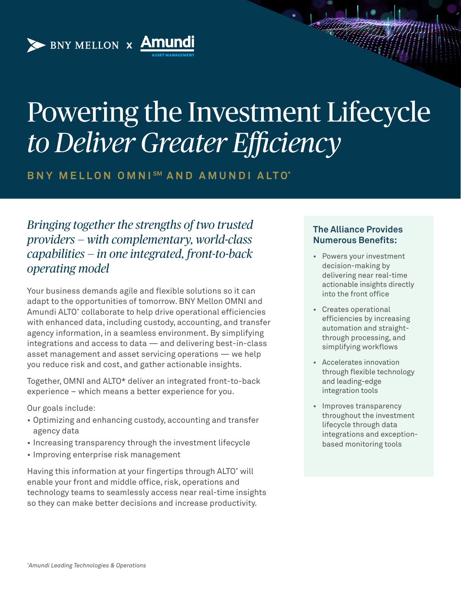# Powering the Investment Lifecycle *to Deliver Greater Efficiency*

**BNY MELLON OMNI SM A N D A M U N D I A LTO\***

*Bringing together the strengths of two trusted providers — with complementary, world-class capabilities — in one integrated, front-to-back operating model* 

BNY MELLON x **Amun** 

Your business demands agile and flexible solutions so it can adapt to the opportunities of tomorrow. BNY Mellon OMNI and Amundi ALTO\* collaborate to help drive operational efficiencies with enhanced data, including custody, accounting, and transfer agency information, in a seamless environment. By simplifying integrations and access to data — and delivering best-in-class asset management and asset servicing operations — we help you reduce risk and cost, and gather actionable insights.

Together, OMNI and ALTO\* deliver an integrated front-to-back experience – which means a better experience for you.

Our goals include:

- Optimizing and enhancing custody, accounting and transfer agency data
- Increasing transparency through the investment lifecycle
- Improving enterprise risk management

Having this information at your fingertips through ALTO\* will enable your front and middle office, risk, operations and technology teams to seamlessly access near real-time insights so they can make better decisions and increase productivity.

#### **The Alliance Provides Numerous Benefits:**

- Powers your investment decision-making by delivering near real-time actionable insights directly into the front office
- Creates operational efficiencies by increasing automation and straightthrough processing, and simplifying workflows
- Accelerates innovation through flexible technology and leading-edge integration tools
- Improves transparency throughout the investment lifecycle through data integrations and exceptionbased monitoring tools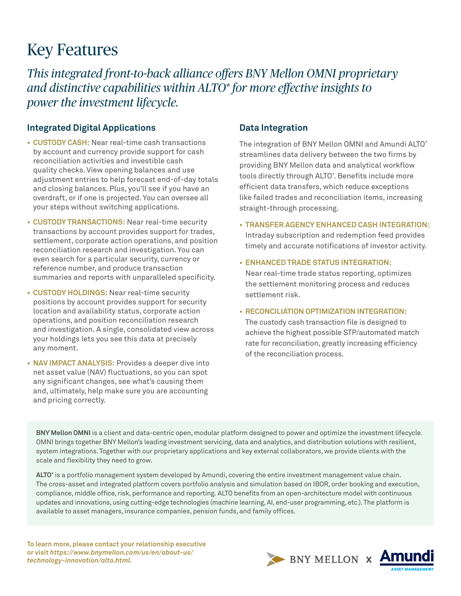## Key Features

*This integrated front-to-back alliance offers BNY Mellon OMNI proprietary and distinctive capabilities within ALTO\* for more effective insights to power the investment lifecycle.*

### **Integrated Digital Applications**

- **• CUSTODY CASH:** Near real-time cash transactions by account and currency provide support for cash reconciliation activities and investible cash quality checks. View opening balances and use adjustment entries to help forecast end-of-day totals and closing balances. Plus, you'll see if you have an overdraft, or if one is projected. You can oversee all your steps without switching applications.
- **• CUSTODY TRANSACTIONS:** Near real-time security transactions by account provides support for trades, settlement, corporate action operations, and position reconciliation research and investigation. You can even search for a particular security, currency or reference number, and produce transaction summaries and reports with unparalleled specificity.
- **• CUSTODY HOLDINGS:** Near real-time security positions by account provides support for security location and availability status, corporate action operations, and position reconciliation research and investigation. A single, consolidated view across your holdings lets you see this data at precisely any moment.
- **• NAV IMPACT ANALYSIS:** Provides a deeper dive into net asset value (NAV) fluctuations, so you can spot any significant changes, see what's causing them and, ultimately, help make sure you are accounting and pricing correctly.

### **Data Integration**

The integration of BNY Mellon OMNI and Amundi ALTO\* streamlines data delivery between the two firms by providing BNY Mellon data and analytical workflow tools directly through ALTO\* . Benefits include more efficient data transfers, which reduce exceptions like failed trades and reconciliation items, increasing straight-through processing.

- **• TRANSFER AGENCY ENHANCED CASH INTEGRATION:** Intraday subscription and redemption feed provides timely and accurate notifications of investor activity.
- **• ENHANCED TRADE STATUS INTEGRATION:** Near real-time trade status reporting, optimizes the settlement monitoring process and reduces settlement risk.
- **• RECONCILIATION OPTIMIZATION INTEGRATION:**

The custody cash transaction file is designed to achieve the highest possible STP/automated match rate for reconciliation, greatly increasing efficiency of the reconciliation process.

**BNY Mellon OMNI** is a client and data-centric open, modular platform designed to power and optimize the investment lifecycle. OMNI brings together BNY Mellon's leading investment servicing, data and analytics, and distribution solutions with resilient, system integrations. Together with our proprietary applications and key external collaborators, we provide clients with the scale and flexibility they need to grow.

**ALTO\*** is a portfolio management system developed by Amundi, covering the entire investment management value chain. The cross-asset and integrated platform covers portfolio analysis and simulation based on IBOR, order booking and execution, compliance, middle office, risk, performance and reporting. ALTO benefits from an open-architecture model with continuous updates and innovations, using cutting-edge technologies (machine learning, AI, end-user programming, etc.). The platform is available to asset managers, insurance companies, pension funds, and family offices.

**To learn more, please contact your relationship executive or visit** *[https://www.bnymellon.com/us/en/about-us/](https://www.bnymellon.com/us/en/about-us/
technology-innovation/alto.html) [technology-innovation/alto.html.](https://www.bnymellon.com/us/en/about-us/
technology-innovation/alto.html)*